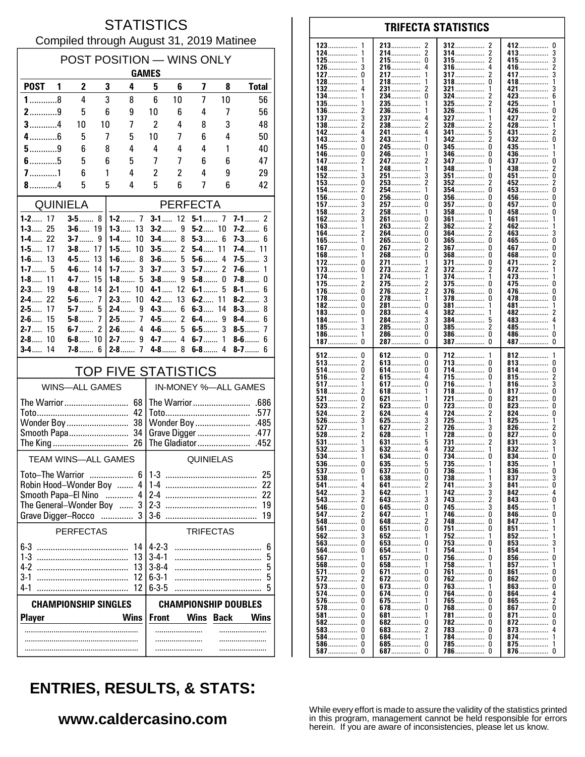### **STATISTICS** Compiled through August 31, 2019 Matinee

| POST POSITION - WINS ONLY<br><b>GAMES</b> |                            |          |                                |                            |                                       |                     |                     |                            |  |  |
|-------------------------------------------|----------------------------|----------|--------------------------------|----------------------------|---------------------------------------|---------------------|---------------------|----------------------------|--|--|
| <b>POST</b>                               | 2<br>1                     |          | 3<br>4                         | 5                          | 6                                     | 7                   | 8                   | <b>Total</b>               |  |  |
| $1$ 8                                     | 4                          |          | 3<br>8                         | 6                          | 10                                    | 7                   | 10                  | 56                         |  |  |
| $2$ 9                                     | 5                          |          | 6<br>9                         | 10                         | 6                                     | 4                   | 7                   | 56                         |  |  |
| $3$ 4                                     | 10                         | 10       | 7                              | 2                          | 4                                     | 8                   | 3                   | 48                         |  |  |
| $4$ 6<br>$5$ 9                            | 5                          |          | 7<br>5                         | 10<br>4                    | 7                                     | 6<br>4              | 4                   | 50                         |  |  |
| $6$ 5                                     | 6<br>5                     |          | 8<br>4<br>6<br>5               | $\overline{1}$             | 4<br>7                                | 6                   | 1<br>6              | 40<br>47                   |  |  |
| $7$ 1                                     | 6                          |          | 1<br>4                         | 2                          | 2                                     | 4                   | 9                   | 29                         |  |  |
| 8, 4                                      | 5                          |          | 5<br>4                         | 5                          | 6                                     | 7                   | 6                   | 42                         |  |  |
| <b>QUINIELA</b>                           |                            |          |                                |                            | <b>PERFECTA</b>                       |                     |                     |                            |  |  |
| $1 - 2$ 17                                | $3 - 5$ 8                  |          |                                | $3-1$                      | 12                                    | $5-1$ 7             |                     | 7-1<br>2                   |  |  |
| 25<br>$1 - 3$<br>$1 - 4$<br>22            | $3 - 6$ 19<br>$3 - 7$      | 9        | $1 - 3$ 13<br>$1-4$<br>10      |                            | $3 - 2$ 9<br>8<br>$3-4$               | $5 - 2$ 10<br>$5-3$ | 6                   | $7-2$<br>6<br>$7 - 3$<br>6 |  |  |
| $1 - 5$<br>17                             | $3-8$                      | 17       | 10<br>$1 - 5$                  |                            | 2<br>$3-5$                            | 5-4                 | 11                  | <b>7-4</b> …… 11           |  |  |
| $1 - 6$ 13                                | 4-5                        | 13       |                                |                            | 5<br>$3-6$                            | $5-6$               | 4                   | 3<br>7-5……                 |  |  |
| $1 - 7$ 5<br>$1 - 8$<br>11                | $4 - 6$<br>$4 - 7$         | 14<br>15 | 3<br>$1 - 7$<br>$1 - 8$<br>5   |                            | $3-7$<br>3<br>$3-8$<br>9              | $5-7$<br>$5-8$      | $\overline{c}$<br>0 | $7-6$<br>1<br>$7-8$<br>0   |  |  |
| $2 - 3$<br>19                             | $4-8$                      | 14       | $2 - 1$<br>10                  | 4-1                        | 12                                    | $6-1$               | 5                   | $8 - 1$<br>6               |  |  |
| 22<br>$2 - 4$                             | $5-6$                      | 7        | 10<br>$2 - 3$                  | $4-2$                      | 13                                    | $6-2$               | 11                  | 3<br>$8-2$                 |  |  |
| $2 - 5$<br>17<br>$2 - 6$<br>15            | 5-7<br>$5-8$               | 5<br>7   | $2 - 4$<br>9<br>$2 - 5$<br>7   |                            | $4-3$<br>6<br>$\overline{2}$<br>4-5…… | $6-3$<br>6-4……      | 14<br>9             | $8 - 3$<br>8<br>$8-4$<br>6 |  |  |
| $2 - 7$<br>15                             | $6-7$                      | 2        | $2 - 6$<br>4                   |                            | $4-6$<br>5                            | 6-5……               | 3                   | $8-5$<br>7                 |  |  |
| 10<br>$2 - 8$                             | 6-8 $10$                   |          | 9<br>$2 - 7$                   |                            | 4<br>$4 - 7$                          | $6-7$               | 1                   | $8-6$<br>6                 |  |  |
| 14<br>$3-4$                               | <b>7-8</b> 6               |          | $2-8$<br>7                     |                            | 8<br>$4-8$                            | $6-8$               | 4                   | $8-7$<br>6                 |  |  |
|                                           |                            |          | <b>TOP FIVE STATISTICS</b>     |                            |                                       |                     |                     |                            |  |  |
| <b>WINS-ALL GAMES</b>                     |                            |          |                                |                            | IN-MONEY %-ALL GAMES                  |                     |                     |                            |  |  |
|                                           |                            |          | The Warrior  68                |                            |                                       |                     |                     |                            |  |  |
|                                           |                            |          | 42                             |                            |                                       |                     |                     |                            |  |  |
| Smooth Papa 34                            |                            |          |                                |                            | Grave Digger<br>.477                  |                     |                     |                            |  |  |
|                                           |                            |          |                                |                            |                                       | The Gladiator       |                     | .452                       |  |  |
|                                           | <b>TEAM WINS-ALL GAMES</b> |          |                                |                            |                                       | <b>QUINIELAS</b>    |                     |                            |  |  |
| <b>Toto-The Warrior</b>                   |                            |          | 6                              | 1.3                        |                                       |                     |                     | 25                         |  |  |
|                                           |                            |          | Robin Hood-Wonder Boy  4<br>4  | $1-4$                      |                                       |                     |                     | 22<br>22                   |  |  |
| Smooth Papa-El Nino                       |                            |          | .<br>The General-Wonder Boy  3 | $2 - 3$                    |                                       |                     |                     | 19                         |  |  |
| Grave Digger-Rocco                        |                            |          | 3                              | $3-6$                      |                                       |                     |                     | 19                         |  |  |
|                                           | <b>PERFECTAS</b>           |          |                                |                            |                                       | <b>TRIFECTAS</b>    |                     |                            |  |  |
|                                           |                            |          | 14                             | $4 - 2 - 3$                |                                       |                     |                     | 6                          |  |  |
|                                           |                            |          | 13                             | $3 - 4 - 1$                |                                       |                     |                     | 5                          |  |  |
| $3-1$                                     |                            |          | 13<br>12                       | $3 - 8 - 4$<br>$6 - 3 - 1$ |                                       |                     |                     | 5<br>5                     |  |  |
| $4-1$                                     |                            |          | 12                             | $6 - 3 - 5$                |                                       |                     |                     | 5                          |  |  |
| <b>CHAMPIONSHIP SINGLES</b>               |                            |          |                                |                            | <b>CHAMPIONSHIP DOUBLES</b>           |                     |                     |                            |  |  |
| <b>Player</b>                             |                            |          | <b>Wins</b>                    | <b>Front</b>               |                                       | <b>Wins</b>         | <b>Back</b>         | <b>Wins</b>                |  |  |
|                                           |                            |          |                                |                            |                                       |                     | .                   |                            |  |  |
|                                           |                            |          |                                |                            |                                       |                     |                     |                            |  |  |

#### 123 213 412  $\mathbf{0}$ 2 312 124 214................  $\overline{2}$ 314 413 3 . . . . . . . . . . . . . . .  $\pmb{0}$  $\overline{\mathbf{c}}$ 3 125 215 315 415. ............... . . . . . . . . . . . . . . . . . . . . . . . . . . . . . . . . . . . . . . . . 126  $\mathbf{3}$ 216 4 316 4 416  $\overline{2}$ .............. . . . . . . . . . . . . . . . 127  $\Omega$ 217  $\mathbf{1}$ 317 2 417 3 . . . . . . . . . . . . . . . . . . . . . . . . . . . . . . . . . . . . . 128 218 318  $\Omega$ 418 1 132 231................ 321  $421...$ 3 2 1  $\Omega$  $6\overline{6}$ 134 234. 324 423 . . . . . . . . . . . . . . . 135 235. 325 425 136 236 326 426 0 . . . . . . . . . . . . . . . . . . . . . . . . . . . . . . . . . . . . . . . . . . . . 137  $\mathbf{3}$ 237 327 427  $\overline{\phantom{a}}$ 4 138  $\overline{2}$ 238  $\mathcal{P}$ 328 428 . . . . . . . . . . . 142  $\overline{4}$ 241  $\overline{4}$ 5 341 431 2  $143.$  $342$ 2  $432...$ ō  $\mathbf{3}$  $\mathbf{1}$ . . . . . . . . .  $\mathbf{0}$ 245  $\mathbf 0$ 345  $\mathbf{0}$ 435 145 346 0 436 146 246 . . . . . . . . . . . . . . . . . . . . . . . . . . . . . . . . . . . . . . . . 147  $\overline{2}$ 247 347  $\Omega$ 437  $\Omega$ . . . . . . . . . . . . . . . . . . . . . . . . . . . . . . . . . . . . . . . . . 148 248 348 438  $\boldsymbol{2}$ . . . . . . . . . . . . . . . .............. . . . . . . . . 152 3 251 3 351 451 0 n . . . . . . . . . . . . . . . . . . . . . . . 153  $\Omega$ 253  $\mathcal{P}$ 352 2 452  $\mathfrak{p}$  $\overline{2}$ õ 154 254 354  $\Omega$  $453...$ 1 156.  $\mathbf 0$  $\mathbf 0$  $\mathbf 0$ 256 356  $\Omega$  $456...$ ŏ 157 257  $\Omega$ 357 457 . . . . . . . . . . . . . . . . . . . . . . . . . . . . 458...............  $\pmb{0}$ 158  $\overline{2}$ 258 358 0 . . . . . . . . . . . . . . . .............. . . . . . . . . . . . . . . . . 162 3 261  $\Omega$ 361 461 1 . . . . . . . . . . . . . . . . . . . . . . . . . . . . . 163 263  $\overline{\phantom{a}}$ 362 462 . . . . . . . . . . . . . . . . . . . . . . . . . ő 164 264 364 2 2 463. 3 265................. 165................ Ō  $365$ ................. ō  $465$ ñ  $\mathbf 0$  $\overline{2}$  $\mathbf{0}$  $\mathbf 0$ 267. 367  $467...$ 167. . . . . . . . . . . . . . . . . . . . . . . . .  $\overline{0}$ Ō Ō 168 268 368 468 . . . . . . . . . . . . . . . . . . . . . . . . . . . . . . . . . . . . . . . . . . . 172  $\mathbf 0$ 271. 371................ 0 471...  $\boldsymbol{2}$ . . . . . . . . . . . . . . 273 372 173 0 472 . . . . . . . . . . . . . . . . . . . . . . . . . . . . . . . . . . . . . . . . . . . . 174 274 374 473 1 ............. . . . . . . . . . . . . . . . . . . . . . . . . . . . . . 175 2 275 2 375 <sup>0</sup> 475  $\Omega$ . . . . . . . . . . . . . . . . . . . . . . . . . . .  $\Omega$ 376  $\Omega$ 176 276. 2  $\Omega$ 476. ŏ  $\Omega$ 278................  $\Omega$ 478 178. 378 1 182  $\Omega$ 281  $\mathbf{0}$ 381 481 . . . . . . . . . . . . . . ............... . . . . . . . . . . . . . . 382 183 0 283 4 482 . . . . . . . . . . . . . . . . . . . . . . . . . . . . . . . . . . . . . . . . . . . . 184 284  $\overline{3}$ 384 483 4 . . . . . . . . . . . . . . . . . . . . . . . . . . . . . . . . . . . . . . . . . . . . . 185 3 285  $\Omega$ 385 2 485 . . . . . . . . . . . . . . . . . . . . . . . . . . . . . . . . . . . . . . . . . . . . . . . . . . . . . . . . . 186  $\mathbf{1}$ 286  $\Omega$ 386  $\Omega$ 486.  $\Omega$ . . . . . . . . . . . . . . . . . . . . . . . . . . . . . . . . . . . . . . . . . . . . . . . . . . . . . . . . . . .  $\dot{0}$  $\tilde{0}$  $\tilde{0}$ 287................  $\Omega$ 187 387 387 487 512  $\pmb{0}$ 612  $\pmb{0}$ 712 812 . . . . . . . . . . . . . 513  $\overline{\mathbf{c}}$ 613................  $\pmb{0}$  $\Omega$  $\pmb{0}$ 713 813 . . . . . . . . . . . . . . . . . . . . . . . . . . . . . . . . . . . . . . . . . . . . . . . . 514 0 614 0 714  $\Omega$ 814 0 . . . . . . . . . . . . . . . . . . . . . . . . . . . . . . . . . . . . . . . . . . . . . . . . . . . . . . . . . . . . . 516  $\overline{2}$ 615  $\begin{smallmatrix} 4 \\ 0 \end{smallmatrix}$ 715  $\Omega$ 815  $\frac{2}{3}$ . . . . . . . . . . . . . . . . . . . . . . . . . . . . . . . . . . . . . . 517 -1 617... 716. 1 816.  $518$ ŏ  $\overline{\phantom{a}}$  $817$ .......  $618$ ................ 718  $\Omega$ . . . . . . . . . . . . . . .  $\mathbf{1}$ 521  $\pmb{0}$  $\theta$ 821  $\pmb{0}$ 621 721 . . . . . . . . . . . . . . . . . . . . .  $823$ 523  $\overline{c}$ 623  $\mathbf 0$ 723 O  $\pmb{0}$ . . . . . . . . . . . . . . . . . . . . . . . . . . . . . . . . . . . . . . . . . . . . . 524  $\overline{\phantom{a}}$ 624 4 724 2 824  $\Omega$ . . . . . . . . . . . . . . . . . . . . . . . . . . . .  $725.726$ 526 3 625 3 825 . . . . . . . . . . . . . . . . . . . . . . . . . . . . 627  $\overline{\phantom{a}}$ 527 1 ્ર 826 528  $\dot{2}$  $628$  $728$ Ō ō  $827$ 1 531 631 731 831 . . . . . . . . . . . . . . . . . . . . . . . . . . . . . . 532 Ā 732 3 632 832 . . . . . . . . . . . . . . . . . . . . . . . . . . . . . . . . . . . . . . . . . . . . 534 634. 0 734 834..... ............... . . . . . . . . . . . . . . . 635 735 536 O  $\frac{5}{0}$ 835  $\frac{1}{0}$ . . . . . . . . . . . . . . . . . . . . . . . . . . . . . . . . . . . . . . . . . . . . 537  $\Omega$ 637 736 836  $\mathbf{1}$ 738 837 538 -1 638 0 3 . . . . . . . . . . . . . . . . . . . .  $\mathbf{0}$ 541 641. 2 741 3 841 542 3 642. 742. 3  $842...$ 4 1 . . . . . . . . . . . . . . 543  $\overline{\mathbf{c}}$ 3 743  $\Omega$ 643 843 . . . . . . . . . . . . . . . . . . . . . . . 546  $\mathbf 0$ 645.  $\mathbf 0$ 745 3 845 . . . . . . . . . . . . . . . . . . . . . . . . . . . . . . . . . . . . . . . . . . . . . 547  $\overline{\phantom{a}}$ 647 746  $\Omega$ 846  $\Omega$ . . . . . . . . . . . . . . . . . . . . . . . . . . . . . . . . . . . . . . . . . . . . 548  $\Omega$ 648 2 748  $\Omega$ 847 . . . . . . . . . . . . . . . . . . . . . . . . . . . . 561  $\Omega$ 651  $\Omega$ 751  $\Omega$ 851 852 562  $\mathbf{3}$ 652 1 752 563. Ō 653. ò  $753$ 853 . . . . . . . . . . . . . . . . . . . . . . . . . . . . . . 564 Ō 654 754 854 . . . . . . . . . . . . . . ............. 856....... 567 657  $\overline{0}$ 756 <sub>0</sub> ŋ . . . . . . . . . . . . . . . . . . . . . . . . . . . . . . 568  $\Omega$ 658 1 758 1 857 . . . . . . . . . . . . . 571 0 671  $\mathbf{0}$ 761 n 861  $\Omega$ . . . . . . . . . . . . . . . . . . . . . . . . . . . . . . 572  $\overline{2}$ 672 0 762 <sup>0</sup> 862 0 . . . . . . . . . . . . . . . . . . . . . . . . . 573  $\Omega$ 673  $\Omega$ 763 863  $\Omega$ 1 574 0 674  $\mathbf 0$ 764  $864...$ 4 n 576  $\pmb{0}$ 675 765  $\pmb{0}$ 865.  $\sqrt{2}$ . . . . . . . . . . . . . . . . . . . . . . . . -1 578  $\Omega$ 678  $\mathbf 0$ 768  $\theta$ 867  $\mathbf 0$ . . . . . . . . . . . . . . . . . . . . . . . . . . . . . 581  $\pmb{0}$ 681 781  $\theta$ 871  $\pmb{0}$ . . . . . . . . . . . . . . . . . . . . . . . . . . . . . . . . . . . . . . . . . . . . . . . . . . . . . . . . . . . . . . . 582  $\Omega$ 682  $\Omega$ 782  $\Omega$ 872  $\Omega$ . . . . . . . . . . . . . . . . . . . . . . . . . . . . . . . . . . . . . . . . . . 583  $\Omega$ 683  $\overline{\phantom{a}}$ 783  $\Omega$ 873  $\overline{4}$ . . . . . . . . . . . . . . . . . . . . . . . . . . . . . . . . . . . . . . . . . . . 584................  $\Omega$ 684................ 784  $\Omega$  $874...$ 1 1 . . . . . . . . 586............... 685..................  $\mathbf 0$ 0  $785$ ................  $\Omega$ 875.................  $\mathbf{1}$ 587  $\pmb{0}$ 687.  $\Omega$ 786  $\Omega$ 876................  $\Omega$

**TRIFECTA STATISTICS** 

# **ENTRIES, RESULTS, & STATS:**

#### www.caldercasino.com

While every effort is made to assure the validity of the statistics printed in this program, management cannot be held responsible for errors herein. If you are aware of inconsistencies, please let us know.